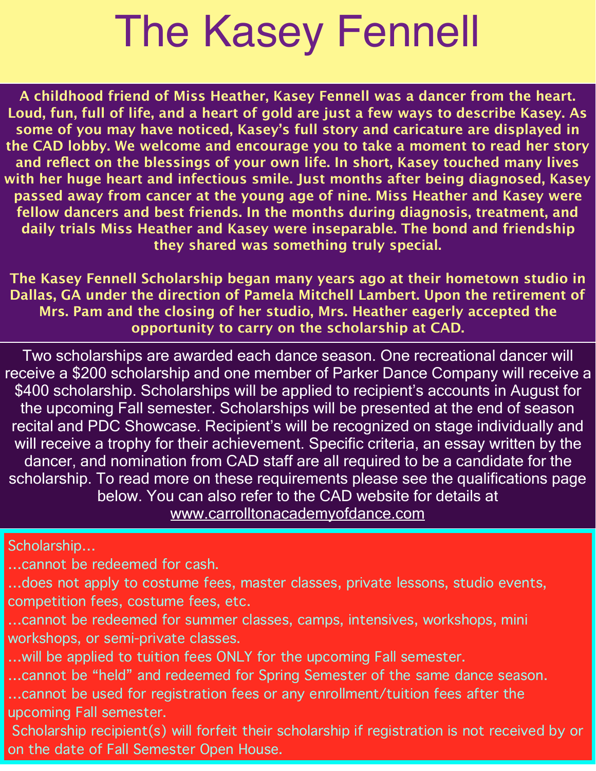## The Kasey Fennell

**A childhood friend of Miss Heather, Kasey Fennell was a dancer from the heart. Loud, fun, full of life, and a heart of gold are just a few ways to describe Kasey. As some of you may have noticed, Kasey's full story and caricature are displayed in the CAD lobby. We welcome and encourage you to take a moment to read her story and reflect on the blessings of your own life. In short, Kasey touched many lives with her huge heart and infectious smile. Just months after being diagnosed, Kasey passed away from cancer at the young age of nine. Miss Heather and Kasey were fellow dancers and best friends. In the months during diagnosis, treatment, and daily trials Miss Heather and Kasey were inseparable. The bond and friendship they shared was something truly special.**

**The Kasey Fennell Scholarship began many years ago at their hometown studio in Dallas, GA under the direction of Pamela Mitchell Lambert. Upon the retirement of Mrs. Pam and the closing of her studio, Mrs. Heather eagerly accepted the opportunity to carry on the scholarship at CAD.**

Two scholarships are awarded each dance season. One recreational dancer will receive a \$200 scholarship and one member of Parker Dance Company will receive a \$400 scholarship. Scholarships will be applied to recipient's accounts in August for the upcoming Fall semester. Scholarships will be presented at the end of season recital and PDC Showcase. Recipient's will be recognized on stage individually and will receive a trophy for their achievement. Specific criteria, an essay written by the dancer, and nomination from CAD staff are all required to be a candidate for the scholarship. To read more on these requirements please see the qualifications page below. You can also refer to the CAD website for details at [www.carrolltonacademyofdance.com](http://www.carrolltonacademyofdance.com)

Scholarship…

…cannot be redeemed for cash.

…does not apply to costume fees, master classes, private lessons, studio events, competition fees, costume fees, etc.

…cannot be redeemed for summer classes, camps, intensives, workshops, mini workshops, or semi-private classes.

…will be applied to tuition fees ONLY for the upcoming Fall semester.

…cannot be "held" and redeemed for Spring Semester of the same dance season.

…cannot be used for registration fees or any enrollment/tuition fees after the upcoming Fall semester.

 Scholarship recipient(s) will forfeit their scholarship if registration is not received by or on the date of Fall Semester Open House.